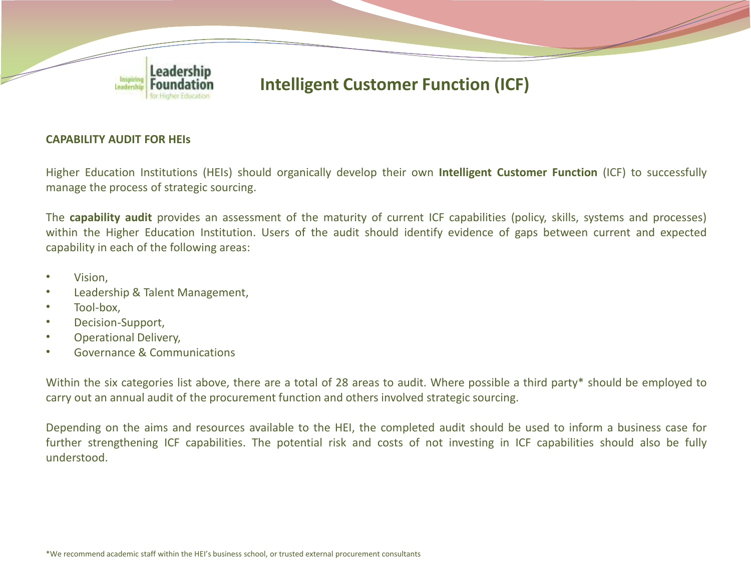

#### **CAPABILITY AUDIT FOR HEIs**

Higher Education Institutions (HEIs) should organically develop their own **Intelligent Customer Function** (ICF) to successfully manage the process of strategic sourcing.

The **capability audit** provides an assessment of the maturity of current ICF capabilities (policy, skills, systems and processes) within the Higher Education Institution. Users of the audit should identify evidence of gaps between current and expected capability in each of the following areas:

- Vision,
- Leadership & Talent Management,
- Tool-box,
- Decision-Support,
- Operational Delivery,
- Governance & Communications

Within the six categories list above, there are a total of 28 areas to audit. Where possible a third party\* should be employed to carry out an annual audit of the procurement function and others involved strategic sourcing.

Depending on the aims and resources available to the HEI, the completed audit should be used to inform a business case for further strengthening ICF capabilities. The potential risk and costs of not investing in ICF capabilities should also be fully understood.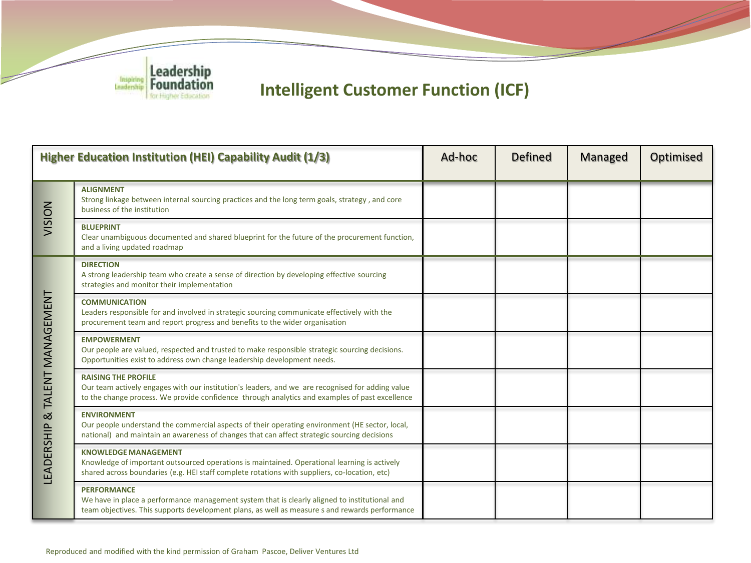

| <b>Higher Education Institution (HEI) Capability Audit (1/3)</b> |                                                                                                                                                                                                                                  | Ad-hoc | <b>Defined</b> | Managed | Optimised |
|------------------------------------------------------------------|----------------------------------------------------------------------------------------------------------------------------------------------------------------------------------------------------------------------------------|--------|----------------|---------|-----------|
| NOISIV                                                           | <b>ALIGNMENT</b><br>Strong linkage between internal sourcing practices and the long term goals, strategy, and core<br>business of the institution                                                                                |        |                |         |           |
|                                                                  | <b>BLUEPRINT</b><br>Clear unambiguous documented and shared blueprint for the future of the procurement function,<br>and a living updated roadmap                                                                                |        |                |         |           |
| TALENT MANAGEMENT<br>$\infty$<br>LEADERSHIP                      | <b>DIRECTION</b><br>A strong leadership team who create a sense of direction by developing effective sourcing<br>strategies and monitor their implementation                                                                     |        |                |         |           |
|                                                                  | <b>COMMUNICATION</b><br>Leaders responsible for and involved in strategic sourcing communicate effectively with the<br>procurement team and report progress and benefits to the wider organisation                               |        |                |         |           |
|                                                                  | <b>EMPOWERMENT</b><br>Our people are valued, respected and trusted to make responsible strategic sourcing decisions.<br>Opportunities exist to address own change leadership development needs.                                  |        |                |         |           |
|                                                                  | <b>RAISING THE PROFILE</b><br>Our team actively engages with our institution's leaders, and we are recognised for adding value<br>to the change process. We provide confidence through analytics and examples of past excellence |        |                |         |           |
|                                                                  | <b>ENVIRONMENT</b><br>Our people understand the commercial aspects of their operating environment (HE sector, local,<br>national) and maintain an awareness of changes that can affect strategic sourcing decisions              |        |                |         |           |
|                                                                  | <b>KNOWLEDGE MANAGEMENT</b><br>Knowledge of important outsourced operations is maintained. Operational learning is actively<br>shared across boundaries (e.g. HEI staff complete rotations with suppliers, co-location, etc)     |        |                |         |           |
|                                                                  | <b>PERFORMANCE</b><br>We have in place a performance management system that is clearly aligned to institutional and<br>team objectives. This supports development plans, as well as measure s and rewards performance            |        |                |         |           |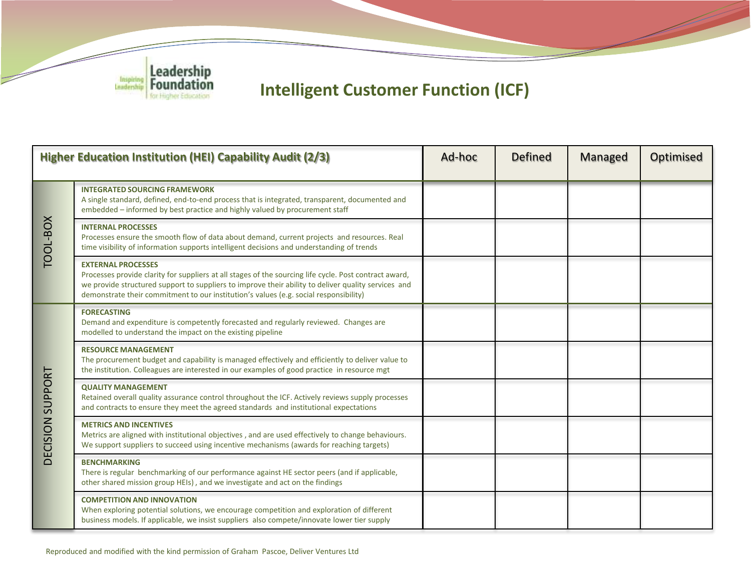

| Higher Education Institution (HEI) Capability Audit (2/3) |                                                                                                                                                                                                                                                                                                                                     | Ad-hoc | <b>Defined</b> | Managed | Optimised |
|-----------------------------------------------------------|-------------------------------------------------------------------------------------------------------------------------------------------------------------------------------------------------------------------------------------------------------------------------------------------------------------------------------------|--------|----------------|---------|-----------|
| TOOL-BOX                                                  | <b>INTEGRATED SOURCING FRAMEWORK</b><br>A single standard, defined, end-to-end process that is integrated, transparent, documented and<br>embedded – informed by best practice and highly valued by procurement staff                                                                                                               |        |                |         |           |
|                                                           | <b>INTERNAL PROCESSES</b><br>Processes ensure the smooth flow of data about demand, current projects and resources. Real<br>time visibility of information supports intelligent decisions and understanding of trends                                                                                                               |        |                |         |           |
|                                                           | <b>EXTERNAL PROCESSES</b><br>Processes provide clarity for suppliers at all stages of the sourcing life cycle. Post contract award,<br>we provide structured support to suppliers to improve their ability to deliver quality services and<br>demonstrate their commitment to our institution's values (e.g. social responsibility) |        |                |         |           |
| <b>DECISION SUPPORT</b>                                   | <b>FORECASTING</b><br>Demand and expenditure is competently forecasted and regularly reviewed. Changes are<br>modelled to understand the impact on the existing pipeline                                                                                                                                                            |        |                |         |           |
|                                                           | <b>RESOURCE MANAGEMENT</b><br>The procurement budget and capability is managed effectively and efficiently to deliver value to<br>the institution. Colleagues are interested in our examples of good practice in resource mgt                                                                                                       |        |                |         |           |
|                                                           | <b>OUALITY MANAGEMENT</b><br>Retained overall quality assurance control throughout the ICF. Actively reviews supply processes<br>and contracts to ensure they meet the agreed standards and institutional expectations                                                                                                              |        |                |         |           |
|                                                           | <b>METRICS AND INCENTIVES</b><br>Metrics are aligned with institutional objectives, and are used effectively to change behaviours.<br>We support suppliers to succeed using incentive mechanisms (awards for reaching targets)                                                                                                      |        |                |         |           |
|                                                           | <b>BENCHMARKING</b><br>There is regular benchmarking of our performance against HE sector peers (and if applicable,<br>other shared mission group HEIs), and we investigate and act on the findings                                                                                                                                 |        |                |         |           |
|                                                           | <b>COMPETITION AND INNOVATION</b><br>When exploring potential solutions, we encourage competition and exploration of different<br>business models. If applicable, we insist suppliers also compete/innovate lower tier supply                                                                                                       |        |                |         |           |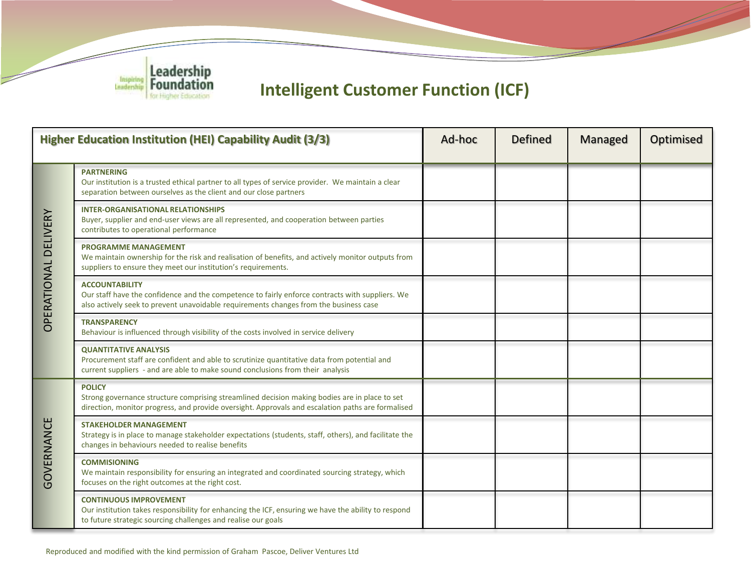

| Higher Education Institution (HEI) Capability Audit (3/3) |                                                                                                                                                                                                                     | Ad-hoc | <b>Defined</b> | Managed | <b>Optimised</b> |
|-----------------------------------------------------------|---------------------------------------------------------------------------------------------------------------------------------------------------------------------------------------------------------------------|--------|----------------|---------|------------------|
| <b><i>OPERATIONAL DELIVERY</i></b>                        | <b>PARTNERING</b><br>Our institution is a trusted ethical partner to all types of service provider. We maintain a clear<br>separation between ourselves as the client and our close partners                        |        |                |         |                  |
|                                                           | <b>INTER-ORGANISATIONAL RELATIONSHIPS</b><br>Buyer, supplier and end-user views are all represented, and cooperation between parties<br>contributes to operational performance                                      |        |                |         |                  |
|                                                           | <b>PROGRAMME MANAGEMENT</b><br>We maintain ownership for the risk and realisation of benefits, and actively monitor outputs from<br>suppliers to ensure they meet our institution's requirements.                   |        |                |         |                  |
|                                                           | <b>ACCOUNTABILITY</b><br>Our staff have the confidence and the competence to fairly enforce contracts with suppliers. We<br>also actively seek to prevent unavoidable requirements changes from the business case   |        |                |         |                  |
|                                                           | <b>TRANSPARENCY</b><br>Behaviour is influenced through visibility of the costs involved in service delivery                                                                                                         |        |                |         |                  |
|                                                           | <b>QUANTITATIVE ANALYSIS</b><br>Procurement staff are confident and able to scrutinize quantitative data from potential and<br>current suppliers - and are able to make sound conclusions from their analysis       |        |                |         |                  |
| <b>GOVERNANCE</b>                                         | <b>POLICY</b><br>Strong governance structure comprising streamlined decision making bodies are in place to set<br>direction, monitor progress, and provide oversight. Approvals and escalation paths are formalised |        |                |         |                  |
|                                                           | <b>STAKEHOLDER MANAGEMENT</b><br>Strategy is in place to manage stakeholder expectations (students, staff, others), and facilitate the<br>changes in behaviours needed to realise benefits                          |        |                |         |                  |
|                                                           | <b>COMMISIONING</b><br>We maintain responsibility for ensuring an integrated and coordinated sourcing strategy, which<br>focuses on the right outcomes at the right cost.                                           |        |                |         |                  |
|                                                           | <b>CONTINUOUS IMPROVEMENT</b><br>Our institution takes responsibility for enhancing the ICF, ensuring we have the ability to respond<br>to future strategic sourcing challenges and realise our goals               |        |                |         |                  |